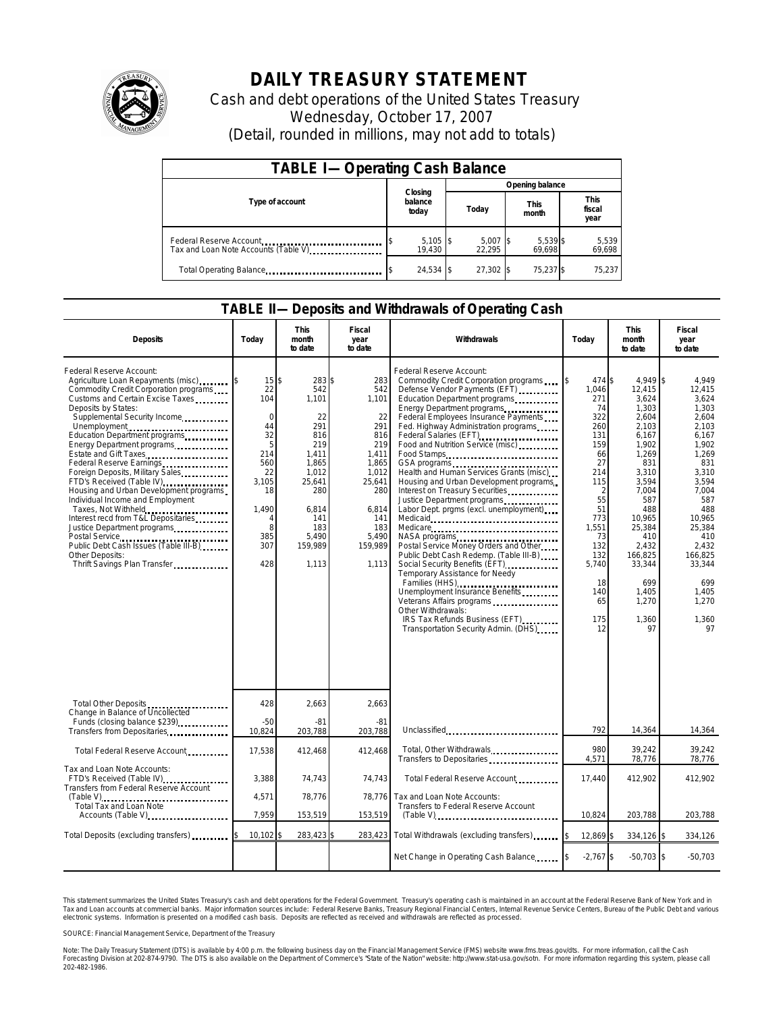

## **DAILY TREASURY STATEMENT**

Cash and debt operations of the United States Treasury Wednesday, October 17, 2007 (Detail, rounded in millions, may not add to totals)

| <b>TABLE I-Operating Cash Balance</b>                           |                             |                      |                      |                               |  |  |  |
|-----------------------------------------------------------------|-----------------------------|----------------------|----------------------|-------------------------------|--|--|--|
|                                                                 |                             | Opening balance      |                      |                               |  |  |  |
| Type of account                                                 | Closing<br>balance<br>today | Today                | <b>This</b><br>month | <b>This</b><br>fiscal<br>year |  |  |  |
| Federal Reserve Account<br>Tax and Loan Note Accounts (Table V) | $5,105$ \$<br>19.430        | $5,007$ \$<br>22.295 | 5,539 \$<br>69.698   | 5,539<br>69,698               |  |  |  |
| Total Operating Balance                                         | $24,534$ \$                 | 27.302 \$            | 75,237 \$            | 75,237                        |  |  |  |

## **TABLE II—Deposits and Withdrawals of Operating Cash**

| <b>Deposits</b>                                                                                                                                                                                                                                                                                                                                                                                                                                                                                                                                                                                                                                                                                   | Todav                                                                                                                        | This<br>month<br>to date                                                                                                                          | Fiscal<br>year<br>to date                                                                                                                      | Withdrawals                                                                                                                                                                                                                                                                                                                                                                                                                                                                                                                                                                                                                                                                                                                                                                                                                                                                                | Today                                                                                                                                                                            | <b>This</b><br>month<br>to date                                                                                                                                                                                                    | Fiscal<br>year<br>to date                                                                                                                                                                                                       |
|---------------------------------------------------------------------------------------------------------------------------------------------------------------------------------------------------------------------------------------------------------------------------------------------------------------------------------------------------------------------------------------------------------------------------------------------------------------------------------------------------------------------------------------------------------------------------------------------------------------------------------------------------------------------------------------------------|------------------------------------------------------------------------------------------------------------------------------|---------------------------------------------------------------------------------------------------------------------------------------------------|------------------------------------------------------------------------------------------------------------------------------------------------|--------------------------------------------------------------------------------------------------------------------------------------------------------------------------------------------------------------------------------------------------------------------------------------------------------------------------------------------------------------------------------------------------------------------------------------------------------------------------------------------------------------------------------------------------------------------------------------------------------------------------------------------------------------------------------------------------------------------------------------------------------------------------------------------------------------------------------------------------------------------------------------------|----------------------------------------------------------------------------------------------------------------------------------------------------------------------------------|------------------------------------------------------------------------------------------------------------------------------------------------------------------------------------------------------------------------------------|---------------------------------------------------------------------------------------------------------------------------------------------------------------------------------------------------------------------------------|
| Federal Reserve Account:<br>Agriculture Loan Repayments (misc)<br>Commodity Credit Corporation programs<br>Customs and Certain Excise Taxes<br>Deposits by States:<br>Supplemental Security Income<br>Unemployment<br>Education Department programs<br>Energy Department programs<br>Estate and Gift Taxes<br>Federal Reserve Earnings<br>Foreign Deposits, Military Sales<br>FTD's Received (Table IV)<br>Housing and Urban Development programs<br>Individual Income and Employment<br>Taxes, Not Withheld<br>Interest recd from T&L Depositaries<br>Justice Department programs<br>Postal Service<br>Public Debt Cash Issues (Table III-B)<br>Other Deposits:<br>Thrift Savings Plan Transfer. | $15$ \$<br>22<br>104<br>$\Omega$<br>44<br>32<br>5<br>214<br>560<br>22<br>3.105<br>18<br>1,490<br>4<br>8<br>385<br>307<br>428 | 283 \$<br>542<br>1,101<br>22<br>291<br>816<br>219<br>1.411<br>1,865<br>1,012<br>25.641<br>280<br>6,814<br>141<br>183<br>5.490<br>159,989<br>1,113 | 283<br>542<br>1,101<br>22<br>291<br>816<br>219<br>1.411<br>1,865<br>1,012<br>25,641<br>280<br>6,814<br>141<br>183<br>5.490<br>159.989<br>1,113 | Federal Reserve Account:<br>Commodity Credit Corporation programs<br>Defense Vendor Payments (EFT)<br>Education Department programs<br>Energy Department programs<br>Federal Employees Insurance Payments<br>Fed. Highway Administration programs<br>Federal Salaries (EFT)<br>Food and Nutrition Service (misc)<br>Food Stamps<br>Health and Human Services Grants (misc)<br>Housing and Urban Development programs<br>Interest on Treasury Securities<br>Justice Department programs<br>Labor Dept. prgms (excl. unemployment)<br>NASA programs<br>Postal Service Money Orders and Other<br>Public Debt Cash Redemp. (Table III-B)<br>Social Security Benefits (EFT)<br>Temporary Assistance for Needy<br>Families (HHS)<br>Unemployment Insurance Benefits<br>Veterans Affairs programs<br>Other Withdrawals:<br>IRS Tax Refunds Business (EFT)<br>Transportation Security Admin. (DHS) | 474 \$<br>1,046<br>271<br>74<br>322<br>260<br>131<br>159<br>66<br>27<br>214<br>115<br>2<br>55<br>51<br>773<br>1,551<br>73<br>132<br>132<br>5,740<br>18<br>140<br>65<br>175<br>12 | 4,949 \$<br>12,415<br>3,624<br>1,303<br>2,604<br>2,103<br>6,167<br>1,902<br>1,269<br>831<br>3,310<br>3,594<br>7,004<br>587<br>488<br>10.965<br>25,384<br>410<br>2.432<br>166,825<br>33,344<br>699<br>1,405<br>1,270<br>1,360<br>97 | 4.949<br>12.415<br>3,624<br>1,303<br>2.604<br>2,103<br>6,167<br>1.902<br>1.269<br>831<br>3.310<br>3.594<br>7,004<br>587<br>488<br>10.965<br>25.384<br>410<br>2.432<br>166,825<br>33,344<br>699<br>1.405<br>1.270<br>1,360<br>97 |
| Total Other Deposits<br>Change in Balance of Uncollected                                                                                                                                                                                                                                                                                                                                                                                                                                                                                                                                                                                                                                          | 428                                                                                                                          | 2,663                                                                                                                                             | 2,663                                                                                                                                          |                                                                                                                                                                                                                                                                                                                                                                                                                                                                                                                                                                                                                                                                                                                                                                                                                                                                                            |                                                                                                                                                                                  |                                                                                                                                                                                                                                    |                                                                                                                                                                                                                                 |
| Funds (closing balance \$239)<br>Transfers from Depositaries                                                                                                                                                                                                                                                                                                                                                                                                                                                                                                                                                                                                                                      | $-50$<br>10,824                                                                                                              | $-81$<br>203,788                                                                                                                                  | $-81$<br>203,788                                                                                                                               | Unclassified                                                                                                                                                                                                                                                                                                                                                                                                                                                                                                                                                                                                                                                                                                                                                                                                                                                                               | 792                                                                                                                                                                              | 14,364                                                                                                                                                                                                                             | 14,364                                                                                                                                                                                                                          |
| Total Federal Reserve Account                                                                                                                                                                                                                                                                                                                                                                                                                                                                                                                                                                                                                                                                     | 17,538                                                                                                                       | 412,468                                                                                                                                           | 412.468                                                                                                                                        | Total, Other Withdrawals<br>Transfers to Depositaries                                                                                                                                                                                                                                                                                                                                                                                                                                                                                                                                                                                                                                                                                                                                                                                                                                      | 980<br>4,571                                                                                                                                                                     | 39,242<br>78,776                                                                                                                                                                                                                   | 39,242<br>78,776                                                                                                                                                                                                                |
| Tax and Loan Note Accounts:<br>FTD's Received (Table IV)<br>Transfers from Federal Reserve Account                                                                                                                                                                                                                                                                                                                                                                                                                                                                                                                                                                                                | 3.388                                                                                                                        | 74.743                                                                                                                                            | 74.743                                                                                                                                         | Total Federal Reserve Account.                                                                                                                                                                                                                                                                                                                                                                                                                                                                                                                                                                                                                                                                                                                                                                                                                                                             | 17.440                                                                                                                                                                           | 412.902                                                                                                                                                                                                                            | 412.902                                                                                                                                                                                                                         |
| (Table V)<br>Total Tax and Loan Note<br>Accounts (Table V)                                                                                                                                                                                                                                                                                                                                                                                                                                                                                                                                                                                                                                        | 4,571<br>7,959                                                                                                               | 78,776<br>153,519                                                                                                                                 | 78,776<br>153,519                                                                                                                              | Tax and Loan Note Accounts:<br>Transfers to Federal Reserve Account                                                                                                                                                                                                                                                                                                                                                                                                                                                                                                                                                                                                                                                                                                                                                                                                                        | 10,824                                                                                                                                                                           | 203,788                                                                                                                                                                                                                            | 203,788                                                                                                                                                                                                                         |
| Total Deposits (excluding transfers)                                                                                                                                                                                                                                                                                                                                                                                                                                                                                                                                                                                                                                                              | 10,102                                                                                                                       | 283,423                                                                                                                                           | 283,423                                                                                                                                        | Total Withdrawals (excluding transfers)                                                                                                                                                                                                                                                                                                                                                                                                                                                                                                                                                                                                                                                                                                                                                                                                                                                    | 12,869                                                                                                                                                                           | 334,126 \$                                                                                                                                                                                                                         | 334,126                                                                                                                                                                                                                         |
|                                                                                                                                                                                                                                                                                                                                                                                                                                                                                                                                                                                                                                                                                                   |                                                                                                                              |                                                                                                                                                   |                                                                                                                                                | Net Change in Operating Cash Balance                                                                                                                                                                                                                                                                                                                                                                                                                                                                                                                                                                                                                                                                                                                                                                                                                                                       | $-2,767$ \$                                                                                                                                                                      | $-50,703$ \$                                                                                                                                                                                                                       | $-50,703$                                                                                                                                                                                                                       |

This statement summarizes the United States Treasury's cash and debt operations for the Federal Government. Treasury's operating cash is maintained in an account at the Federal Reserve Bank of New York and in<br>Tax and Loan narizes the United States Treasury's cash and debt operations for the Federal Government. Treasury's operating cash is maintained in an account at the Federal Reserve Bank of New York and in<br>ints at commercial banks. Major

SOURCE: Financial Management Service, Department of the Treasury

Note: The Daily Treasury Statement (DTS) is available by 4:00 p.m. the following business day on the Financial Management Service (FMS) website www.fms.treas.gov/dts. For more information, call the Cash<br>Forecasting Divisio 202-482-1986.